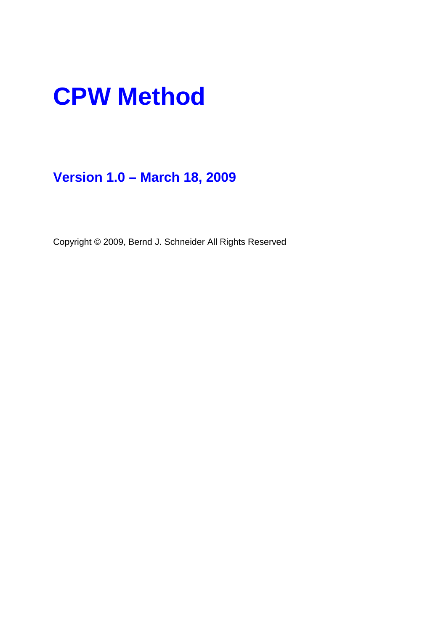# **CPW Method**

## **Version 1.0 – March 18, 2009**

Copyright © 2009, Bernd J. Schneider All Rights Reserved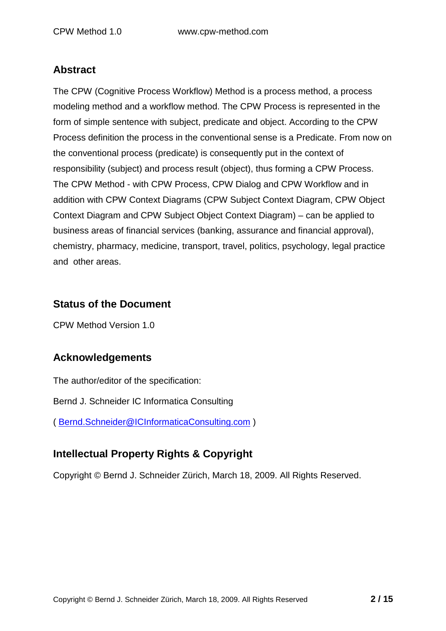#### **Abstract**

The CPW (Cognitive Process Workflow) Method is a process method, a process modeling method and a workflow method. The CPW Process is represented in the form of simple sentence with subject, predicate and object. According to the CPW Process definition the process in the conventional sense is a Predicate. From now on the conventional process (predicate) is consequently put in the context of responsibility (subject) and process result (object), thus forming a CPW Process. The CPW Method - with CPW Process, CPW Dialog and CPW Workflow and in addition with CPW Context Diagrams (CPW Subject Context Diagram, CPW Object Context Diagram and CPW Subject Object Context Diagram) – can be applied to business areas of financial services (banking, assurance and financial approval), chemistry, pharmacy, medicine, transport, travel, politics, psychology, legal practice and other areas.

#### **Status of the Document**

CPW Method Version 1.0

#### **Acknowledgements**

The author/editor of the specification:

Bernd J. Schneider IC Informatica Consulting

( Bernd.Schneider@ICInformaticaConsulting.com )

#### **Intellectual Property Rights & Copyright**

Copyright © Bernd J. Schneider Zürich, March 18, 2009. All Rights Reserved.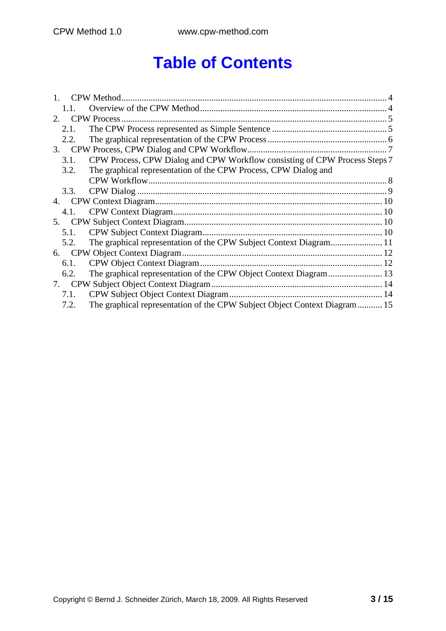# **Table of Contents**

| $2_{\cdot}$ |                                                                            |  |
|-------------|----------------------------------------------------------------------------|--|
| 2.1.        |                                                                            |  |
| 2.2.        |                                                                            |  |
|             |                                                                            |  |
| 3.1.        | CPW Process, CPW Dialog and CPW Workflow consisting of CPW Process Steps 7 |  |
| 3.2.        | The graphical representation of the CPW Process, CPW Dialog and            |  |
|             |                                                                            |  |
| 3.3.        |                                                                            |  |
| 4.          |                                                                            |  |
| 4.1.        |                                                                            |  |
| 5.          |                                                                            |  |
| 5.1.        |                                                                            |  |
| 5.2.        |                                                                            |  |
| 6.          |                                                                            |  |
| 6.1.        |                                                                            |  |
| 6.2.        |                                                                            |  |
| 7.          |                                                                            |  |
| 7.1.        |                                                                            |  |
| 7.2.        | The graphical representation of the CPW Subject Object Context Diagram 15  |  |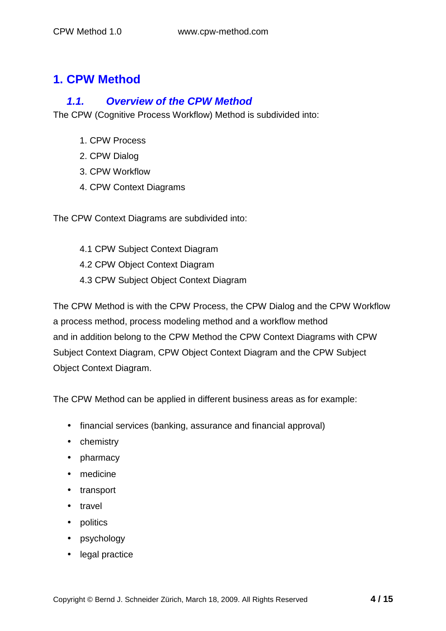## **1. CPW Method**

#### **1.1. Overview of the CPW Method**

The CPW (Cognitive Process Workflow) Method is subdivided into:

- 1. CPW Process
- 2. CPW Dialog
- 3. CPW Workflow
- 4. CPW Context Diagrams

The CPW Context Diagrams are subdivided into:

- 4.1 CPW Subject Context Diagram
- 4.2 CPW Object Context Diagram
- 4.3 CPW Subject Object Context Diagram

The CPW Method is with the CPW Process, the CPW Dialog and the CPW Workflow a process method, process modeling method and a workflow method and in addition belong to the CPW Method the CPW Context Diagrams with CPW Subject Context Diagram, CPW Object Context Diagram and the CPW Subject Object Context Diagram.

The CPW Method can be applied in different business areas as for example:

- financial services (banking, assurance and financial approval)
- chemistry
- pharmacy
- medicine
- transport
- travel
- politics
- psychology
- legal practice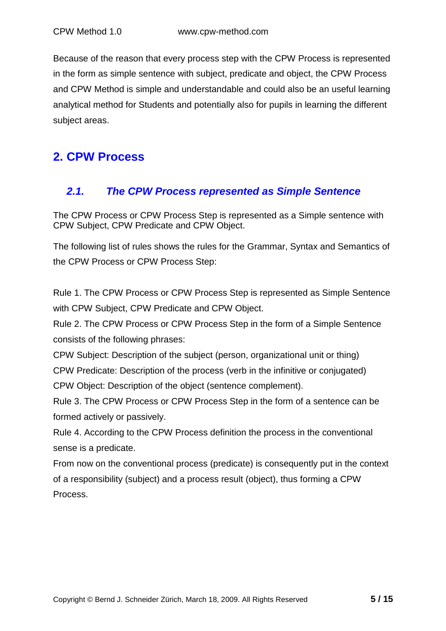Because of the reason that every process step with the CPW Process is represented in the form as simple sentence with subject, predicate and object, the CPW Process and CPW Method is simple and understandable and could also be an useful learning analytical method for Students and potentially also for pupils in learning the different subject areas.

## **2. CPW Process**

#### **2.1. The CPW Process represented as Simple Sentence**

The CPW Process or CPW Process Step is represented as a Simple sentence with CPW Subject, CPW Predicate and CPW Object.

The following list of rules shows the rules for the Grammar, Syntax and Semantics of the CPW Process or CPW Process Step:

Rule 1. The CPW Process or CPW Process Step is represented as Simple Sentence with CPW Subject, CPW Predicate and CPW Object.

Rule 2. The CPW Process or CPW Process Step in the form of a Simple Sentence consists of the following phrases:

CPW Subject: Description of the subject (person, organizational unit or thing)

CPW Predicate: Description of the process (verb in the infinitive or conjugated)

CPW Object: Description of the object (sentence complement).

Rule 3. The CPW Process or CPW Process Step in the form of a sentence can be formed actively or passively.

Rule 4. According to the CPW Process definition the process in the conventional sense is a predicate.

From now on the conventional process (predicate) is consequently put in the context of a responsibility (subject) and a process result (object), thus forming a CPW Process.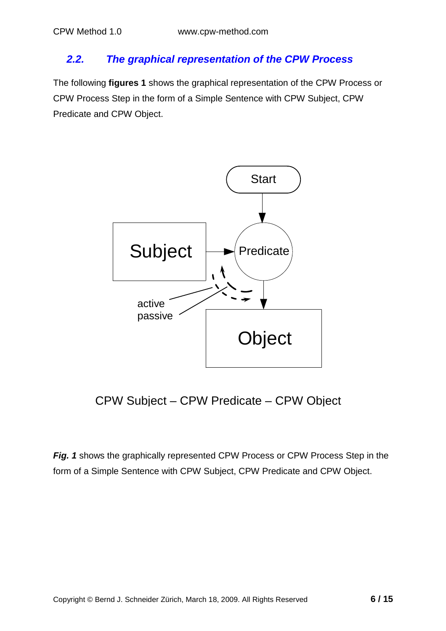#### **2.2. The graphical representation of the CPW Process**

The following **figures 1** shows the graphical representation of the CPW Process or CPW Process Step in the form of a Simple Sentence with CPW Subject, CPW Predicate and CPW Object.



CPW Subject – CPW Predicate – CPW Object

**Fig. 1** shows the graphically represented CPW Process or CPW Process Step in the form of a Simple Sentence with CPW Subject, CPW Predicate and CPW Object.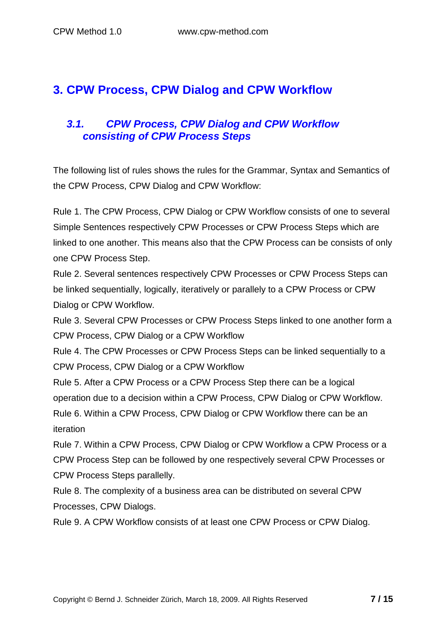## **3. CPW Process, CPW Dialog and CPW Workflow**

#### **3.1. CPW Process, CPW Dialog and CPW Workflow consisting of CPW Process Steps**

The following list of rules shows the rules for the Grammar, Syntax and Semantics of the CPW Process, CPW Dialog and CPW Workflow:

Rule 1. The CPW Process, CPW Dialog or CPW Workflow consists of one to several Simple Sentences respectively CPW Processes or CPW Process Steps which are linked to one another. This means also that the CPW Process can be consists of only one CPW Process Step.

Rule 2. Several sentences respectively CPW Processes or CPW Process Steps can be linked sequentially, logically, iteratively or parallely to a CPW Process or CPW Dialog or CPW Workflow.

Rule 3. Several CPW Processes or CPW Process Steps linked to one another form a CPW Process, CPW Dialog or a CPW Workflow

Rule 4. The CPW Processes or CPW Process Steps can be linked sequentially to a CPW Process, CPW Dialog or a CPW Workflow

Rule 5. After a CPW Process or a CPW Process Step there can be a logical operation due to a decision within a CPW Process, CPW Dialog or CPW Workflow. Rule 6. Within a CPW Process, CPW Dialog or CPW Workflow there can be an

iteration

Rule 7. Within a CPW Process, CPW Dialog or CPW Workflow a CPW Process or a CPW Process Step can be followed by one respectively several CPW Processes or CPW Process Steps parallelly.

Rule 8. The complexity of a business area can be distributed on several CPW Processes, CPW Dialogs.

Rule 9. A CPW Workflow consists of at least one CPW Process or CPW Dialog.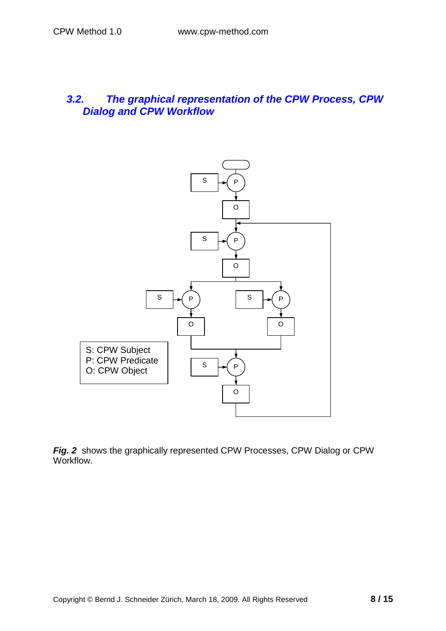#### **3.2. The graphical representation of the CPW Process, CPW Dialog and CPW Workflow**



**Fig. 2** shows the graphically represented CPW Processes, CPW Dialog or CPW Workflow.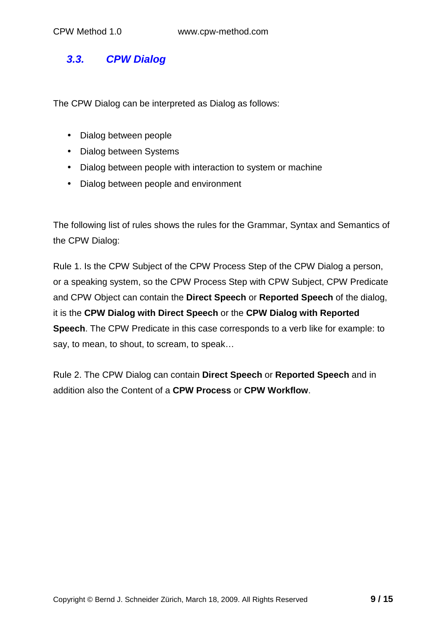#### **3.3. CPW Dialog**

The CPW Dialog can be interpreted as Dialog as follows:

- Dialog between people
- Dialog between Systems
- Dialog between people with interaction to system or machine
- Dialog between people and environment

The following list of rules shows the rules for the Grammar, Syntax and Semantics of the CPW Dialog:

Rule 1. Is the CPW Subject of the CPW Process Step of the CPW Dialog a person, or a speaking system, so the CPW Process Step with CPW Subject, CPW Predicate and CPW Object can contain the **Direct Speech** or **Reported Speech** of the dialog, it is the **CPW Dialog with Direct Speech** or the **CPW Dialog with Reported Speech**. The CPW Predicate in this case corresponds to a verb like for example: to say, to mean, to shout, to scream, to speak...

Rule 2. The CPW Dialog can contain **Direct Speech** or **Reported Speech** and in addition also the Content of a **CPW Process** or **CPW Workflow**.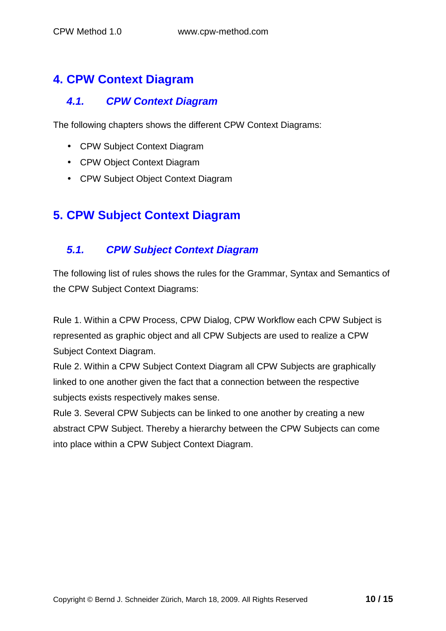## **4. CPW Context Diagram**

#### **4.1. CPW Context Diagram**

The following chapters shows the different CPW Context Diagrams:

- CPW Subject Context Diagram
- CPW Object Context Diagram
- CPW Subject Object Context Diagram

## **5. CPW Subject Context Diagram**

#### **5.1. CPW Subject Context Diagram**

The following list of rules shows the rules for the Grammar, Syntax and Semantics of the CPW Subject Context Diagrams:

Rule 1. Within a CPW Process, CPW Dialog, CPW Workflow each CPW Subject is represented as graphic object and all CPW Subjects are used to realize a CPW Subject Context Diagram.

Rule 2. Within a CPW Subject Context Diagram all CPW Subjects are graphically linked to one another given the fact that a connection between the respective subjects exists respectively makes sense.

Rule 3. Several CPW Subjects can be linked to one another by creating a new abstract CPW Subject. Thereby a hierarchy between the CPW Subjects can come into place within a CPW Subject Context Diagram.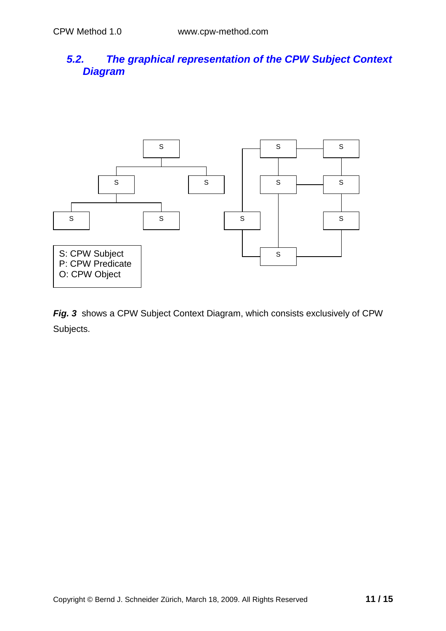#### **5.2. The graphical representation of the CPW Subject Context Diagram**



**Fig. 3** shows a CPW Subject Context Diagram, which consists exclusively of CPW Subjects.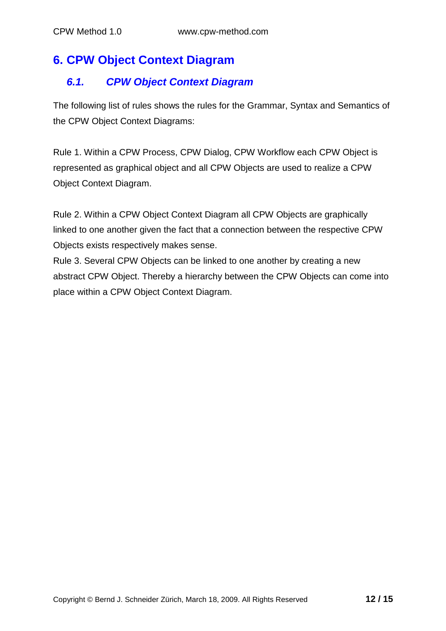## **6. CPW Object Context Diagram**

#### **6.1. CPW Object Context Diagram**

The following list of rules shows the rules for the Grammar, Syntax and Semantics of the CPW Object Context Diagrams:

Rule 1. Within a CPW Process, CPW Dialog, CPW Workflow each CPW Object is represented as graphical object and all CPW Objects are used to realize a CPW Object Context Diagram.

Rule 2. Within a CPW Object Context Diagram all CPW Objects are graphically linked to one another given the fact that a connection between the respective CPW Objects exists respectively makes sense.

Rule 3. Several CPW Objects can be linked to one another by creating a new abstract CPW Object. Thereby a hierarchy between the CPW Objects can come into place within a CPW Object Context Diagram.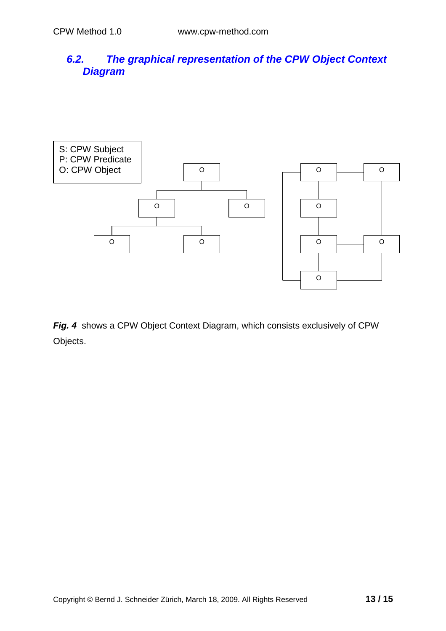#### **6.2. The graphical representation of the CPW Object Context Diagram**



**Fig. 4** shows a CPW Object Context Diagram, which consists exclusively of CPW Objects.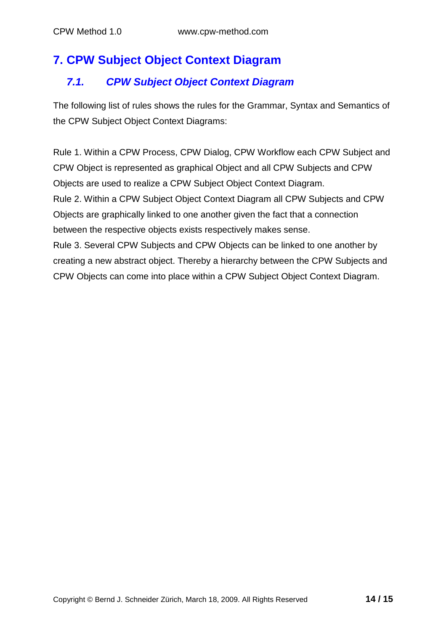## **7. CPW Subject Object Context Diagram**

### **7.1. CPW Subject Object Context Diagram**

The following list of rules shows the rules for the Grammar, Syntax and Semantics of the CPW Subject Object Context Diagrams:

Rule 1. Within a CPW Process, CPW Dialog, CPW Workflow each CPW Subject and CPW Object is represented as graphical Object and all CPW Subjects and CPW Objects are used to realize a CPW Subject Object Context Diagram. Rule 2. Within a CPW Subject Object Context Diagram all CPW Subjects and CPW Objects are graphically linked to one another given the fact that a connection between the respective objects exists respectively makes sense. Rule 3. Several CPW Subjects and CPW Objects can be linked to one another by

creating a new abstract object. Thereby a hierarchy between the CPW Subjects and CPW Objects can come into place within a CPW Subject Object Context Diagram.